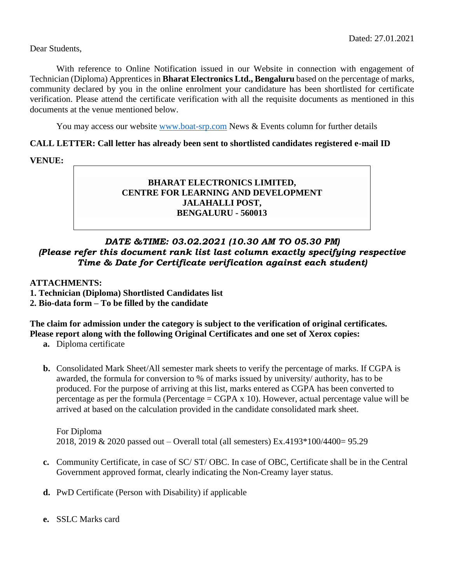Dear Students,

With reference to Online Notification issued in our Website in connection with engagement of Technician (Diploma) Apprentices in **Bharat Electronics Ltd., Bengaluru** based on the percentage of marks, community declared by you in the online enrolment your candidature has been shortlisted for certificate verification. Please attend the certificate verification with all the requisite documents as mentioned in this documents at the venue mentioned below.

You may access our website [www.boat-srp.com](http://www.boat-srp.com/) News & Events column for further details

## **CALL LETTER: Call letter has already been sent to shortlisted candidates registered e-mail ID**

**VENUE:**

# **BHARAT ELECTRONICS LIMITED, CENTRE FOR LEARNING AND DEVELOPMENT JALAHALLI POST, BENGALURU - 560013**

# *DATE &TIME: 03.02.2021 (10.30 AM TO 05.30 PM) (Please refer this document rank list last column exactly specifying respective Time & Date for Certificate verification against each student)*

**ATTACHMENTS:** 

- **1. Technician (Diploma) Shortlisted Candidates list**
- **2. Bio-data form – To be filled by the candidate**

# **The claim for admission under the category is subject to the verification of original certificates. Please report along with the following Original Certificates and one set of Xerox copies:**

**a.** Diploma certificate

**b.** Consolidated Mark Sheet/All semester mark sheets to verify the percentage of marks. If CGPA is awarded, the formula for conversion to % of marks issued by university/ authority, has to be produced. For the purpose of arriving at this list, marks entered as CGPA has been converted to percentage as per the formula (Percentage =  $CGPA \times 10$ ). However, actual percentage value will be arrived at based on the calculation provided in the candidate consolidated mark sheet.

For Diploma 2018, 2019 & 2020 passed out – Overall total (all semesters) Ex.4193\*100/4400= 95.29

- **c.** Community Certificate, in case of SC/ ST/ OBC. In case of OBC, Certificate shall be in the Central Government approved format, clearly indicating the Non-Creamy layer status.
- **d.** PwD Certificate (Person with Disability) if applicable
- **e.** SSLC Marks card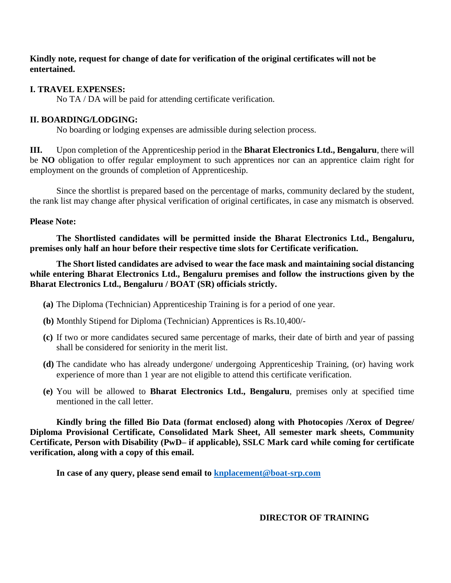### **Kindly note, request for change of date for verification of the original certificates will not be entertained.**

# **I. TRAVEL EXPENSES:**

No TA / DA will be paid for attending certificate verification.

# **II. BOARDING/LODGING:**

No boarding or lodging expenses are admissible during selection process.

**III.** Upon completion of the Apprenticeship period in the **Bharat Electronics Ltd., Bengaluru**, there will be **NO** obligation to offer regular employment to such apprentices nor can an apprentice claim right for employment on the grounds of completion of Apprenticeship.

Since the shortlist is prepared based on the percentage of marks, community declared by the student, the rank list may change after physical verification of original certificates, in case any mismatch is observed.

## **Please Note:**

**The Shortlisted candidates will be permitted inside the Bharat Electronics Ltd., Bengaluru, premises only half an hour before their respective time slots for Certificate verification.** 

**The Short listed candidates are advised to wear the face mask and maintaining social distancing while entering Bharat Electronics Ltd., Bengaluru premises and follow the instructions given by the Bharat Electronics Ltd., Bengaluru / BOAT (SR) officials strictly.** 

- **(a)** The Diploma (Technician) Apprenticeship Training is for a period of one year.
- **(b)** Monthly Stipend for Diploma (Technician) Apprentices is Rs.10,400/-
- **(c)** If two or more candidates secured same percentage of marks, their date of birth and year of passing shall be considered for seniority in the merit list.
- **(d)** The candidate who has already undergone/ undergoing Apprenticeship Training, (or) having work experience of more than 1 year are not eligible to attend this certificate verification.
- **(e)** You will be allowed to **Bharat Electronics Ltd., Bengaluru**, premises only at specified time mentioned in the call letter.

**Kindly bring the filled Bio Data (format enclosed) along with Photocopies /Xerox of Degree/ Diploma Provisional Certificate, Consolidated Mark Sheet, All semester mark sheets, Community Certificate, Person with Disability (PwD– if applicable), SSLC Mark card while coming for certificate verification, along with a copy of this email.** 

**In case of any query, please send email to [knplacement@boat-srp.com](mailto:knplacement@boat-srp.com)**

 **DIRECTOR OF TRAINING**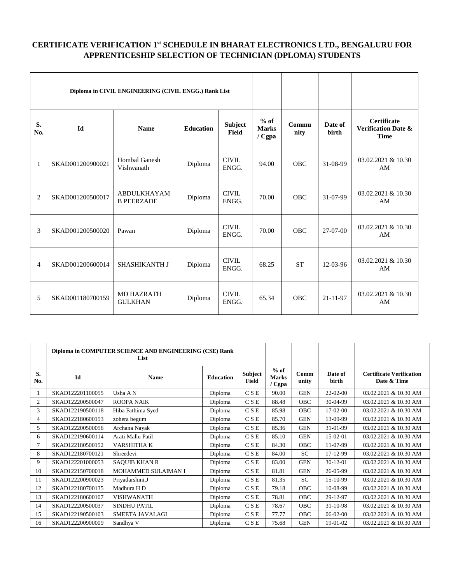#### **CERTIFICATE VERIFICATION 1 st SCHEDULE IN BHARAT ELECTRONICS LTD., BENGALURU FOR APPRENTICESHIP SELECTION OF TECHNICIAN (DPLOMA) STUDENTS**

|                | Diploma in CIVIL ENGINEERING (CIVIL ENGG.) Rank List |                                         |                  |                         |                                     |               |                         |                                                                     |
|----------------|------------------------------------------------------|-----------------------------------------|------------------|-------------------------|-------------------------------------|---------------|-------------------------|---------------------------------------------------------------------|
| S.<br>No.      | <b>Id</b>                                            | <b>Name</b>                             | <b>Education</b> | Subject<br><b>Field</b> | $%$ of<br><b>Marks</b><br>$/ C$ gpa | Commu<br>nity | Date of<br><b>birth</b> | <b>Certificate</b><br><b>Verification Date &amp;</b><br><b>Time</b> |
| $\mathbf{1}$   | SKAD001200900021                                     | <b>Hombal Ganesh</b><br>Vishwanath      | Diploma          | <b>CIVIL</b><br>ENGG.   | 94.00                               | <b>OBC</b>    | 31-08-99                | 03.02.2021 & 10.30<br>AM                                            |
| 2              | SKAD001200500017                                     | <b>ABDULKHAYAM</b><br><b>B PEERZADE</b> | Diploma          | <b>CIVIL</b><br>ENGG.   | 70.00                               | <b>OBC</b>    | 31-07-99                | 03.02.2021 & 10.30<br>AM                                            |
| 3              | SKAD001200500020                                     | Pawan                                   | Diploma          | <b>CIVIL</b><br>ENGG.   | 70.00                               | <b>OBC</b>    | 27-07-00                | 03.02.2021 & 10.30<br>AM                                            |
| $\overline{4}$ | SKAD001200600014                                     | <b>SHASHIKANTH J</b>                    | Diploma          | <b>CIVIL</b><br>ENGG.   | 68.25                               | <b>ST</b>     | 12-03-96                | 03.02.2021 & 10.30<br>AM                                            |
| 5              | SKAD001180700159                                     | <b>MD HAZRATH</b><br><b>GULKHAN</b>     | Diploma          | <b>CIVIL</b><br>ENGG.   | 65.34                               | <b>OBC</b>    | 21-11-97                | 03.02.2021 & 10.30<br>AM                                            |

|                | Diploma in COMPUTER SCIENCE AND ENGINEERING (CSE) Rank<br>List |                      |                  |                         |                                  |               |                  |                                                |
|----------------|----------------------------------------------------------------|----------------------|------------------|-------------------------|----------------------------------|---------------|------------------|------------------------------------------------|
| S.<br>No.      | Id                                                             | <b>Name</b>          | <b>Education</b> | <b>Subject</b><br>Field | $%$ of<br><b>Marks</b><br>/ Cgpa | Comm<br>unity | Date of<br>birth | <b>Certificate Verification</b><br>Date & Time |
|                | SKAD122201100055                                               | Usha A N             | Diploma          | <b>CSE</b>              | 90.00                            | <b>GEN</b>    | $22-02-00$       | 03.02.2021 & 10.30 AM                          |
| $\mathfrak{2}$ | SKAD122200500047                                               | <b>ROOPA NAIK</b>    | Diploma          | <b>CSE</b>              | 88.48                            | <b>OBC</b>    | 30-04-99         | 03.02.2021 & 10.30 AM                          |
| 3              | SKAD122190500118                                               | Hiba Fathima Syed    | Diploma          | <b>CSE</b>              | 85.98                            | <b>OBC</b>    | $17-02-00$       | 03.02.2021 & 10.30 AM                          |
| 4              | SKAD122180600153                                               | zohera begum         | Diploma          | <b>CSE</b>              | 85.70                            | <b>GEN</b>    | 13-09-99         | 03.02.2021 & 10.30 AM                          |
| 5              | SKAD122200500056                                               | Archana Nayak        | Diploma          | <b>CSE</b>              | 85.36                            | <b>GEN</b>    | 31-01-99         | 03.02.2021 & 10.30 AM                          |
| 6              | SKAD122190600114                                               | Arati Mallu Patil    | Diploma          | <b>CSE</b>              | 85.10                            | <b>GEN</b>    | 15-02-01         | 03.02.2021 & 10.30 AM                          |
| 7              | SKAD122180500152                                               | VARSHITHA K          | Diploma          | <b>CSE</b>              | 84.30                            | OBC           | 11-07-99         | 03.02.2021 & 10.30 AM                          |
| 8              | SKAD122180700121                                               | Shreedevi            | Diploma          | <b>CSE</b>              | 84.00                            | <b>SC</b>     | 17-12-99         | 03.02.2021 & 10.30 AM                          |
| 9              | SKAD122201000053                                               | <b>SAQUIB KHAN R</b> | Diploma          | <b>CSE</b>              | 83.00                            | <b>GEN</b>    | $30-12-01$       | 03.02.2021 & 10.30 AM                          |
| 10             | SKAD122150700018                                               | MOHAMMED SULAIMAN I  | Diploma          | <b>CSE</b>              | 81.81                            | <b>GEN</b>    | 26-05-99         | 03.02.2021 & 10.30 AM                          |
| 11             | SKAD122200900023                                               | Priyadarshini.J      | Diploma          | <b>CSE</b>              | 81.35                            | <b>SC</b>     | 15-10-99         | 03.02.2021 & 10.30 AM                          |
| 12             | SKAD122180700135                                               | Madhura H D          | Diploma          | <b>CSE</b>              | 79.18                            | OBC           | 10-08-99         | 03.02.2021 & 10.30 AM                          |
| 13             | SKAD122180600107                                               | <b>VISHWANATH</b>    | Diploma          | <b>CSE</b>              | 78.81                            | <b>OBC</b>    | 29-12-97         | 03.02.2021 & 10.30 AM                          |
| 14             | SKAD122200500037                                               | <b>SINDHU PATIL</b>  | Diploma          | <b>CSE</b>              | 78.67                            | <b>OBC</b>    | 31-10-98         | 03.02.2021 & 10.30 AM                          |
| 15             | SKAD122190500103                                               | SMEETA JAVALAGI      | Diploma          | <b>CSE</b>              | 77.77                            | <b>OBC</b>    | 06-02-00         | 03.02.2021 & 10.30 AM                          |
| 16             | SKAD122200900009                                               | Sandhya V            | Diploma          | <b>CSE</b>              | 75.68                            | <b>GEN</b>    | 19-01-02         | 03.02.2021 & 10.30 AM                          |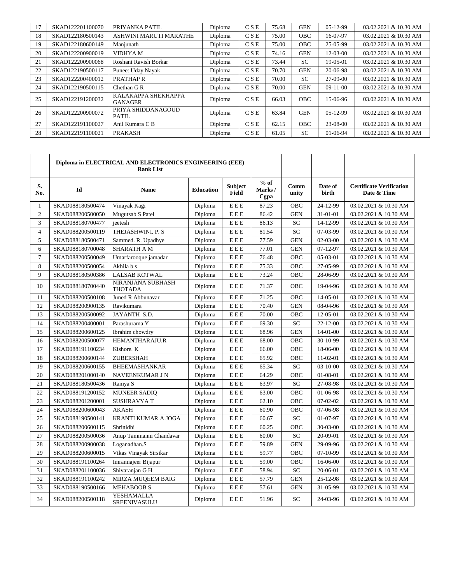| 17 | SKAD122201100070 | PRIYANKA PATIL                        | Diploma | <b>CSE</b> | 75.68 | <b>GEN</b> | $05-12-99$      | 03.02.2021 & 10.30 AM |
|----|------------------|---------------------------------------|---------|------------|-------|------------|-----------------|-----------------------|
| 18 | SKAD122180500143 | ASHWINI MARUTI MARATHE                | Diploma | <b>CSE</b> | 75.00 | <b>OBC</b> | 16-07-97        | 03.02.2021 & 10.30 AM |
| 19 | SKAD122180600149 | Manjunath                             | Diploma | CSE        | 75.00 | <b>OBC</b> | 25-05-99        | 03.02.2021 & 10.30 AM |
| 20 | SKAD122200900019 | VIDHYA M                              | Diploma | CSE        | 74.16 | <b>GEN</b> | $12 - 03 - 00$  | 03.02.2021 & 10.30 AM |
| 21 | SKAD122200900068 | Roshani Ravish Borkar                 | Diploma | CSE        | 73.44 | SC.        | 19-05-01        | 03.02.2021 & 10.30 AM |
| 22 | SKAD122190500117 | Puneet Uday Nayak                     | Diploma | CSE        | 70.70 | <b>GEN</b> | 20-06-98        | 03.02.2021 & 10.30 AM |
| 23 | SKAD122200400012 | PRATHAP R                             | Diploma | CSE        | 70.00 | SC.        | 27-09-00        | 03.02.2021 & 10.30 AM |
| 24 | SKAD122190500115 | Chethan G R                           | Diploma | CSE        | 70.00 | <b>GEN</b> | $09-11-00$      | 03.02.2021 & 10.30 AM |
| 25 | SKAD122191200032 | KALAKAPPA SHEKHAPPA<br><b>GANAGER</b> | Diploma | CSE        | 66.03 | <b>OBC</b> | 15-06-96        | 03.02.2021 & 10.30 AM |
| 26 | SKAD122200900072 | PRIYA SHIDDANAGOUD<br><b>PATIL</b>    | Diploma | CSE        | 63.84 | <b>GEN</b> | $0.5 - 12 - 99$ | 03.02.2021 & 10.30 AM |
| 27 | SKAD122191100027 | Anil Kumara C B                       | Diploma | CSE        | 62.15 | <b>OBC</b> | 23-08-00        | 03.02.2021 & 10.30 AM |
| 28 | SKAD122191100021 | <b>PRAKASH</b>                        | Diploma | CSE        | 61.05 | <b>SC</b>  | 01-06-94        | 03.02.2021 & 10.30 AM |

|                | Diploma in ELECTRICAL AND ELECTRONICS ENGINEERING (EEE)<br><b>Rank List</b> |                                     |                  |                                |                          |               |                  |                                                |
|----------------|-----------------------------------------------------------------------------|-------------------------------------|------------------|--------------------------------|--------------------------|---------------|------------------|------------------------------------------------|
| S.<br>No.      | Id                                                                          | <b>Name</b>                         | <b>Education</b> | <b>Subject</b><br><b>Field</b> | $%$ of<br>Marks/<br>Cgpa | Comm<br>unity | Date of<br>birth | <b>Certificate Verification</b><br>Date & Time |
| $\mathbf{1}$   | SKAD088180500474                                                            | Vinayak Kagi                        | Diploma          | ${\bf E} \to {\bf E}$          | 87.23                    | OBC           | 24-12-99         | 03.02.2021 & 10.30 AM                          |
| $\overline{2}$ | SKAD088200500050                                                            | Mugutsab S Patel                    | Diploma          | EEE                            | 86.42                    | <b>GEN</b>    | 31-01-01         | 03.02.2021 & 10.30 AM                          |
| 3              | SKAD088180700477                                                            | jeetesh                             | Diploma          | EEE                            | 86.13                    | SC            | 14-12-99         | 03.02.2021 & 10.30 AM                          |
| $\overline{4}$ | SKAD088200500119                                                            | THEJASHWINI. P. S                   | Diploma          | EEE                            | 81.54                    | <b>SC</b>     | 07-03-99         | 03.02.2021 & 10.30 AM                          |
| 5              | SKAD088180500471                                                            | Sammed. R. Upadhye                  | Diploma          | $\mathbf{E}\to\mathbf{E}$      | 77.59                    | <b>GEN</b>    | $02-03-00$       | 03.02.2021 & 10.30 AM                          |
| 6              | SKAD088180700048                                                            | <b>SHARATH A M</b>                  | Diploma          | $\mathbf{E}\to\mathbf{E}$      | 77.01                    | <b>GEN</b>    | $07 - 12 - 97$   | 03.02.2021 & 10.30 AM                          |
| $\overline{7}$ | SKAD088200500049                                                            | Umarfarooque jamadar                | Diploma          | $\mathbf{E}\to\mathbf{E}$      | 76.48                    | OBC           | 05-03-01         | 03.02.2021 & 10.30 AM                          |
| 8              | SKAD088200500054                                                            | Akhila b s                          | Diploma          | EEE                            | 75.33                    | OBC           | 27-05-99         | 03.02.2021 & 10.30 AM                          |
| 9              | SKAD088180500386                                                            | <b>LALSAB KOTWAL</b>                | Diploma          | EEE                            | 73.24                    | OBC           | 28-06-99         | 03.02.2021 & 10.30 AM                          |
| 10             | SKAD088180700440                                                            | NIRANJANA SUBHASH<br><b>THOTADA</b> | Diploma          | EEE                            | 71.37                    | OBC           | 19-04-96         | 03.02.2021 & 10.30 AM                          |
| 11             | SKAD088200500108                                                            | Juned R Abbunavar                   | Diploma          | EEE                            | 71.25                    | OBC           | 14-05-01         | 03.02.2021 & 10.30 AM                          |
| 12             | SKAD088200900135                                                            | Ravikumara                          | Diploma          | $\mathbf{E}\to\mathbf{E}$      | 70.40                    | <b>GEN</b>    | 08-04-96         | 03.02.2021 & 10.30 AM                          |
| 13             | SKAD088200500092                                                            | JAYANTH S.D.                        | Diploma          | $\mathbf{E}\to\mathbf{E}$      | 70.00                    | OBC           | 12-05-01         | 03.02.2021 & 10.30 AM                          |
| 14             | SKAD088200400001                                                            | Parashurama Y                       | Diploma          | $\mathbf{E}\to\mathbf{E}$      | 69.30                    | <b>SC</b>     | $22 - 12 - 00$   | 03.02.2021 & 10.30 AM                          |
| 15             | SKAD088200600125                                                            | Ibrahim chowdry                     | Diploma          | EEE                            | 68.96                    | <b>GEN</b>    | $14-01-00$       | 03.02.2021 & 10.30 AM                          |
| 16             | SKAD088200500077                                                            | HEMANTHARAJU.R                      | Diploma          | EEE                            | 68.00                    | OBC           | 30-10-99         | 03.02.2021 & 10.30 AM                          |
| 17             | SKAD088191100234                                                            | Kishore. K                          | Diploma          | ${\bf E} \to {\bf E}$          | 66.00                    | OBC           | 18-06-00         | 03.02.2021 & 10.30 AM                          |
| 18             | SKAD088200600144                                                            | ZUBERSHAH                           | Diploma          | $\mathbf{E}\to\mathbf{E}$      | 65.92                    | OBC           | 11-02-01         | 03.02.2021 & 10.30 AM                          |
| 19             | SKAD088200600155                                                            | <b>BHEEMASHANKAR</b>                | Diploma          | $\mathbf{E}\to\mathbf{E}$      | 65.34                    | SC            | $03-10-00$       | 03.02.2021 & 10.30 AM                          |
| 20             | SKAD088201000140                                                            | NAVEENKUMAR J N                     | Diploma          | ${\bf E} \to {\bf E}$          | 64.29                    | OBC           | 01-08-01         | 03.02.2021 & 10.30 AM                          |
| 21             | SKAD088180500436                                                            | Ramya S                             | Diploma          | ${\bf E} \to {\bf E}$          | 63.97                    | SC            | 27-08-98         | 03.02.2021 & 10.30 AM                          |
| 22             | SKAD088191200152                                                            | <b>MUNEER SADIQ</b>                 | Diploma          | ${\bf E} \to {\bf E}$          | 63.00                    | OBC           | 01-06-98         | 03.02.2021 & 10.30 AM                          |
| 23             | SKAD088201200001                                                            | <b>SUSHRAVYAT</b>                   | Diploma          | EEE                            | 62.10                    | OBC           | $07-02-02$       | 03.02.2021 & 10.30 AM                          |
| 24             | SKAD088200600043                                                            | <b>AKASH</b>                        | Diploma          | EEE                            | 60.90                    | OBC           | 07-06-98         | 03.02.2021 & 10.30 AM                          |
| 25             | SKAD088190500141                                                            | KRANTI KUMAR A JOGA                 | Diploma          | $\mathbf{E} \to \mathbf{E}$    | 60.67                    | SC            | 01-07-97         | 03.02.2021 & 10.30 AM                          |
| 26             | SKAD088200600115                                                            | Shrinidhi                           | Diploma          | $\mathbf{E} \to \mathbf{E}$    | 60.25                    | OBC           | 30-03-00         | 03.02.2021 & 10.30 AM                          |
| 27             | SKAD088200500036                                                            | Anup Tammanni Chandavar             | Diploma          | EEE                            | 60.00                    | <b>SC</b>     | 20-09-01         | 03.02.2021 & 10.30 AM                          |
| 28             | SKAD088200900038                                                            | Loganadhan.S                        | Diploma          | $\mathbf{E} \to \mathbf{E}$    | 59.89                    | <b>GEN</b>    | 29-09-96         | 03.02.2021 & 10.30 AM                          |
| 29             | SKAD088200600015                                                            | Vikas Vinayak Sirsikar              | Diploma          | EEE                            | 59.77                    | OBC           | $07-10-99$       | 03.02.2021 & 10.30 AM                          |
| 30             | SKAD088191100264                                                            | Imrannajeer Bijapur                 | Diploma          | EEE                            | 59.00                    | OBC           | 16-06-00         | 03.02.2021 & 10.30 AM                          |
| 31             | SKAD088201100036                                                            | Shivaranjan G H                     | Diploma          | ${\bf E} \to {\bf E}$          | 58.94                    | SC            | 20-06-01         | 03.02.2021 & 10.30 AM                          |
| 32             | SKAD088191100242                                                            | MIRZA MUQEEM BAIG                   | Diploma          | $\mathbf{E} \to \mathbf{E}$    | 57.79                    | <b>GEN</b>    | 25-12-98         | 03.02.2021 & 10.30 AM                          |
| 33             | SKAD088190500166                                                            | <b>MEHABOOB S</b>                   | Diploma          | $\mathbf{E} \to \mathbf{E}$    | 57.61                    | <b>GEN</b>    | 31-05-99         | 03.02.2021 & 10.30 AM                          |
| 34             | SKAD088200500118                                                            | YESHAMALLA<br>SREENIVASULU          | Diploma          | EEE                            | 51.96                    | <b>SC</b>     | 24-03-96         | 03.02.2021 & 10.30 AM                          |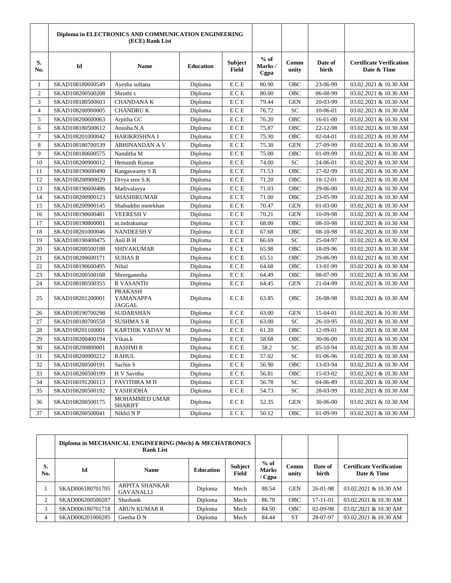|                | Diploma in ELECTRONICS AND COMMUNICATION ENGINEERING<br>(ECE) Rank List |                                       |                  |                                |                          |               |                  |                                                |
|----------------|-------------------------------------------------------------------------|---------------------------------------|------------------|--------------------------------|--------------------------|---------------|------------------|------------------------------------------------|
| S.<br>No.      | Id                                                                      | <b>Name</b>                           | <b>Education</b> | <b>Subject</b><br><b>Field</b> | $%$ of<br>Marks/<br>Cgpa | Comm<br>unity | Date of<br>birth | <b>Certificate Verification</b><br>Date & Time |
| 1              | SKAD108180600549                                                        | Ayesha sultana                        | Diploma          | ECE                            | 80.90                    | <b>OBC</b>    | 23-06-99         | 03.02.2021 & 10.30 AM                          |
| $\overline{c}$ | SKAD108200500208                                                        | Shruthi s                             | Diploma          | ECE                            | 80.00                    | OBC           | 06-08-99         | 03.02.2021 & 10.30 AM                          |
| 3              | SKAD108180500603                                                        | <b>CHANDANAK</b>                      | Diploma          | ECE                            | 79.44                    | <b>GEN</b>    | 20-03-99         | 03.02.2021 & 10.30 AM                          |
| 4              | SKAD108200900005                                                        | <b>CHANDRUK</b>                       | Diploma          | ECE                            | 76.72                    | SC            | 10-06-01         | 03.02.2021 & 10.30 AM                          |
| 5              | SKAD108200600063                                                        | Arpitha GC                            | Diploma          | ECE                            | 76.20                    | OBC           | $16-01-00$       | 03.02.2021 & 10.30 AM                          |
| 6              | SKAD108180500612                                                        | Anusha.N.A                            | Diploma          | ECE                            | 75.87                    | OBC           | 22-12-98         | 03.02.2021 & 10.30 AM                          |
| 7              | SKAD108201000042                                                        | HARIKRISHNA J                         | Diploma          | ECE                            | 75.30                    | OBC           | 02-04-01         | 03.02.2021 & 10.30 AM                          |
| 8              | SKAD108180700539                                                        | <b>ABHINANDAN A V</b>                 | Diploma          | ECE                            | 75.30                    | <b>GEN</b>    | 27-09-99         | 03.02.2021 & 10.30 AM                          |
| 9              | SKAD108180600575                                                        | Nanditha M                            | Diploma          | ECE                            | 75.00                    | OBC           | 01-09-99         | 03.02.2021 & 10.30 AM                          |
| 10             | SKAD108200900012                                                        | Hemanth Kumar                         | Diploma          | ECE                            | 74.00                    | SC            | 24-06-01         | 03.02.2021 & 10.30 AM                          |
| 11             | SKAD108190600490                                                        | Rangaswamy S R                        | Diploma          | ECE                            | 71.53                    | OBC           | 27-02-99         | 03.02.2021 & 10.30 AM                          |
| 12             | SKAD108200900029                                                        | Divya sree S.K                        | Diploma          | ECE                            | 71.20                    | OBC           | 18-12-01         | 03.02.2021 & 10.30 AM                          |
| 13             | SKAD108190600486                                                        | Madivalayya                           | Diploma          | ECE                            | 71.03                    | OBC           | 29-06-00         | 03.02.2021 & 10.30 AM                          |
| 14             | SKAD108200900123                                                        | <b>SHASHIKUMAR</b>                    | Diploma          | ECE                            | 71.00                    | OBC           | 23-05-99         | 03.02.2021 & 10.30 AM                          |
| 15             | SKAD108200900145                                                        | Shabuddin meerkhan                    | Diploma          | ECE                            | 70.47                    | <b>GEN</b>    | 01-03-00         | 03.02.2021 & 10.30 AM                          |
| 16             | SKAD108190600481                                                        | <b>VEERESH V</b>                      | Diploma          | ECE                            | 70.21                    | <b>GEN</b>    | 10-09-98         | 03.02.2021 & 10.30 AM                          |
| 17             | SKAD108190800001                                                        | m.indrakumar                          | Diploma          | ECE                            | 68.00                    | OBC           | 08-10-98         | 03.02.2021 & 10.30 AM                          |
| 18             | SKAD108201000046                                                        | <b>NANDEESH V</b>                     | Diploma          | ECE                            | 67.68                    | OBC           | 08-10-98         | 03.02.2021 & 10.30 AM                          |
| 19             | SKAD108190400475                                                        | Anil B H                              | Diploma          | ECE                            | 66.69                    | <b>SC</b>     | 25-04-97         | 03.02.2021 & 10.30 AM                          |
| 20             | SKAD108200500188                                                        | <b>SHIVAKUMAR</b>                     | Diploma          | ECE                            | 65.98                    | OBC           | 18-09-96         | 03.02.2021 & 10.30 AM                          |
| 21             | SKAD108200600171                                                        | <b>SUHAS B</b>                        | Diploma          | ECE                            | 65.51                    | OBC           | 29-06-99         | 03.02.2021 & 10.30 AM                          |
| 22             | SKAD108190600495                                                        | Nihal                                 | Diploma          | ECE                            | 64.68                    | OBC           | 13-01-99         | 03.02.2021 & 10.30 AM                          |
| 23             | SKAD108200500168                                                        | Shreeganesha                          | Diploma          | ECE                            | 64.49                    | OBC           | 08-07-99         | 03.02.2021 & 10.30 AM                          |
| 24             | SKAD108180500355                                                        | R VASANTH                             | Diploma          | ECE                            | 64.45                    | <b>GEN</b>    | 21-04-99         | 03.02.2021 & 10.30 AM                          |
| 25             | SKAD108201200001                                                        | <b>PRAKASH</b><br>YAMANAPPA<br>JAGGAL | Diploma          | ECE                            | 63.85                    | OBC           | 26-08-98         | 03.02.2021 & 10.30 AM                          |
| 26             | SKAD108190700298                                                        | <b>SUDARSHAN</b>                      | Diploma          | ECE                            | 63.00                    | <b>GEN</b>    | 15-04-01         | 03.02.2021 & 10.30 AM                          |
| 27             | SKAD108180700558                                                        | <b>SUSHMA S R</b>                     | Diploma          | ECE                            | 63.00                    | <b>SC</b>     | 26-10-95         | 03.02.2021 & 10.30 AM                          |
| 28             | SKAD108201100001                                                        | KARTHIK YADAV M                       | Diploma          | ECE                            | 61.20                    | OBC           | 12-09-01         | 03.02.2021 & 10.30 AM                          |
| 29             | SKAD108200400194                                                        | Vikas.k                               | Diploma          | ECE                            | 58.68                    | OBC           | 30-06-00         | 03.02.2021 & 10.30 AM                          |
| 30             | SKAD108200800001                                                        | <b>RASHMIR</b>                        | Diploma          | ECE                            | 58.2                     | <b>SC</b>     | 05-10-94         | 03.02.2021 & 10.30 AM                          |
| 31             | SKAD108200900212                                                        | RAHUL                                 | Diploma          | ECE                            | 57.02                    | SС            | 01-06-96         | 03.02.2021 & 10.30 AM                          |
| 32             | SKAD108200500191                                                        | Sachin S                              | Diploma          | ECE                            | 56.90                    | OBC           | 13-03-94         | 03.02.2021 & 10.30 AM                          |
| 33             | SKAD108200500199                                                        | H V Savitha                           | Diploma          | ECE                            | 56.81                    | OBC           | 15-03-02         | 03.02.2021 & 10.30 AM                          |
| 34             | SKAD108191200113                                                        | PAVITHRA M H                          | Diploma          | ECE                            | 56.78                    | <b>SC</b>     | 04-06-89         | 03.02.2021 & 10.30 AM                          |
| 35             | SKAD108200500192                                                        | YASHODHA                              | Diploma          | ECE                            | 54.73                    | SC            | 28-03-99         | 03.02.2021 & 10.30 AM                          |
| 36             | SKAD108200500175                                                        | MOHAMMED UMAR<br><b>SHARIFF</b>       | Diploma          | ECE                            | 52.35                    | <b>GEN</b>    | 30-06-00         | 03.02.2021 & 10.30 AM                          |
| 37             | SKAD108200500041                                                        | Nikhil N P                            | Diploma          | ECE                            | 50.12                    | OBC           | 01-09-99         | 03.02.2021 & 10.30 AM                          |

|           | Diploma in MECHANICAL ENGINEERING (Mech) & MECHATRONICS<br><b>Rank List</b> |                                           |                  |                         |                                  |               |                         |                                                |
|-----------|-----------------------------------------------------------------------------|-------------------------------------------|------------------|-------------------------|----------------------------------|---------------|-------------------------|------------------------------------------------|
| S.<br>No. | Id                                                                          | <b>Name</b>                               | <b>Education</b> | Subject<br><b>Field</b> | $%$ of<br><b>Marks</b><br>/ Cgpa | Comm<br>unity | Date of<br><b>birth</b> | <b>Certificate Verification</b><br>Date & Time |
|           | SKAD006180701705                                                            | <b>ARPITA SHANKAR</b><br><b>GAVANALLI</b> | Diploma          | Mech                    | 88.54                            | <b>GEN</b>    | $26-01-98$              | 03.02.2021 & 10.30 AM                          |
| 2         | SKAD006200500287                                                            | Shashank                                  | Diploma          | Mech                    | 86.78                            | <b>OBC</b>    | $17-11-01$              | 03.02.2021 & 10.30 AM                          |
| 3         | SKAD006180701718                                                            | <b>ARUN KUMAR R</b>                       | Diploma          | Mech                    | 84.50                            | <b>OBC</b>    | 02-09-98                | 03.02.2021 & 10.30 AM                          |
|           | SKAD006201000285                                                            | Geetha D N                                | Diploma          | Mech                    | 84.44                            | <b>ST</b>     | 28-07-97                | 03.02.2021 & 10.30 AM                          |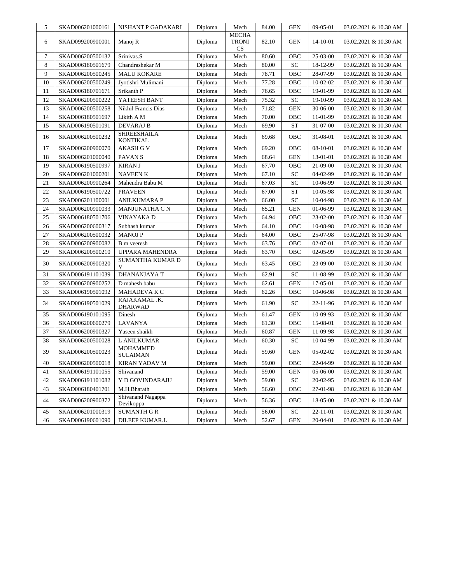| 5      | SKAD006201000161 | NISHANT P GADAKARI                    | Diploma | Mech                         | 84.00 | <b>GEN</b>   | 09-05-01 | 03.02.2021 & 10.30 AM |
|--------|------------------|---------------------------------------|---------|------------------------------|-------|--------------|----------|-----------------------|
| 6      | SKAD099200900001 | Manoj R                               | Diploma | <b>MECHA</b><br>TRONI<br>CS. | 82.10 | <b>GEN</b>   | 14-10-01 | 03.02.2021 & 10.30 AM |
| 7      | SKAD006200500132 | Srinivas.S                            | Diploma | Mech                         | 80.60 | OBC          | 25-03-00 | 03.02.2021 & 10.30 AM |
| 8      | SKAD006180501679 | Chandrashekar M                       | Diploma | Mech                         | 80.00 | <b>SC</b>    | 18-12-99 | 03.02.2021 & 10.30 AM |
| 9      | SKAD006200500245 | <b>MALU KOKARE</b>                    | Diploma | Mech                         | 78.71 | OBC          | 28-07-99 | 03.02.2021 & 10.30 AM |
| 10     | SKAD006200500249 | Jyotishri Mulimani                    | Diploma | Mech                         | 77.28 | OBC          | 10-02-02 | 03.02.2021 & 10.30 AM |
| 11     | SKAD006180701671 | Srikanth P                            | Diploma | Mech                         | 76.65 | OBC          | 19-01-99 | 03.02.2021 & 10.30 AM |
| 12     | SKAD006200500222 | YATEESH BANT                          | Diploma | Mech                         | 75.32 | SC           | 19-10-99 | 03.02.2021 & 10.30 AM |
| 13     | SKAD006200500258 | Nikhil Francis Dias                   | Diploma | Mech                         | 71.82 | <b>GEN</b>   | 30-06-00 | 03.02.2021 & 10.30 AM |
| 14     | SKAD006180501697 | Likith A M                            | Diploma | Mech                         | 70.00 | OBC          | 11-01-99 | 03.02.2021 & 10.30 AM |
| 15     | SKAD006190501091 | <b>DEVARAJ B</b>                      | Diploma | Mech                         | 69.90 | ST           | 31-07-00 | 03.02.2021 & 10.30 AM |
| 16     | SKAD006200500232 | <b>SHREESHAILA</b><br><b>KONTIKAL</b> | Diploma | Mech                         | 69.68 | OBC          | 31-08-01 | 03.02.2021 & 10.30 AM |
| 17     | SKAD006200900070 | <b>AKASH G V</b>                      | Diploma | Mech                         | 69.20 | OBC          | 08-10-01 | 03.02.2021 & 10.30 AM |
| 18     | SKAD006201000040 | PAVAN S                               | Diploma | Mech                         | 68.64 | <b>GEN</b>   | 13-01-01 | 03.02.2021 & 10.30 AM |
| 19     | SKAD006190500997 | <b>KIRAN J</b>                        | Diploma | Mech                         | 67.70 | OBC          | 21-09-00 | 03.02.2021 & 10.30 AM |
| 20     | SKAD006201000201 | <b>NAVEEN K</b>                       | Diploma | Mech                         | 67.10 | SC           | 04-02-99 | 03.02.2021 & 10.30 AM |
| 21     | SKAD006200900264 | Mahendra Babu M                       | Diploma | Mech                         | 67.03 | SC           | 10-06-99 | 03.02.2021 & 10.30 AM |
| 22     | SKAD006190500722 | <b>PRAVEEN</b>                        | Diploma | Mech                         | 67.00 | <b>ST</b>    | 10-05-98 | 03.02.2021 & 10.30 AM |
| 23     | SKAD006201100001 | <b>ANILKUMARA P</b>                   | Diploma | Mech                         | 66.00 | SC           | 10-04-98 | 03.02.2021 & 10.30 AM |
| 24     | SKAD006200900033 | <b>MANJUNATHA C N</b>                 | Diploma | Mech                         | 65.21 | GEN          | 01-06-99 | 03.02.2021 & 10.30 AM |
| 25     | SKAD006180501706 | VINAYAKA D                            | Diploma | Mech                         | 64.94 | OBC          | 23-02-00 | 03.02.2021 & 10.30 AM |
| 26     | SKAD006200600317 | Subhash kumar                         | Diploma | Mech                         | 64.10 | OBC          | 10-08-98 | 03.02.2021 & 10.30 AM |
| 27     | SKAD006200500032 | <b>MANOJ P</b>                        | Diploma | Mech                         | 64.00 | OBC          | 25-07-98 | 03.02.2021 & 10.30 AM |
| $28\,$ | SKAD006200900082 | B m veeresh                           | Diploma | Mech                         | 63.76 | OBC          | 02-07-01 | 03.02.2021 & 10.30 AM |
| 29     | SKAD006200500210 | UPPARA MAHENDRA                       | Diploma | Mech                         | 63.70 | OBC          | 02-05-99 | 03.02.2021 & 10.30 AM |
| 30     | SKAD006200900320 | SUMANTHA KUMAR D<br>V                 | Diploma | Mech                         | 63.45 | ОВС          | 23-09-00 | 03.02.2021 & 10.30 AM |
| 31     | SKAD006191101039 | DHANANJAYA T                          | Diploma | Mech                         | 62.91 | SC           | 11-08-99 | 03.02.2021 & 10.30 AM |
| 32     | SKAD006200900252 | D mahesh babu                         | Diploma | Mech                         | 62.61 | GEN          | 17-05-01 | 03.02.2021 & 10.30 AM |
| 33     | SKAD006190501092 | MAHADEVA K C                          | Diploma | Mech                         | 62.26 | OBC          | 10-06-98 | 03.02.2021 & 10.30 AM |
| 34     | SKAD006190501029 | RAJAKAMAL.K.<br><b>DHARWAD</b>        | Diploma | Mech                         | 61.90 | SC           | 22-11-96 | 03.02.2021 & 10.30 AM |
| 35     | SKAD006190101095 | Dinesh                                | Diploma | Mech                         | 61.47 | GEN          | 10-09-93 | 03.02.2021 & 10.30 AM |
| 36     | SKAD006200600279 | LAVANYA                               | Diploma | Mech                         | 61.30 | OBC          | 15-08-01 | 03.02.2021 & 10.30 AM |
| 37     | SKAD006200900327 | Yaseen shaikh                         | Diploma | Mech                         | 60.87 | GEN          | 11-09-98 | 03.02.2021 & 10.30 AM |
| 38     | SKAD006200500028 | L ANILKUMAR                           | Diploma | Mech                         | 60.30 | SC           | 10-04-99 | 03.02.2021 & 10.30 AM |
| 39     | SKAD006200500023 | <b>MOHAMMED</b><br><b>SULAIMAN</b>    | Diploma | Mech                         | 59.60 | $\mbox{GEN}$ | 05-02-02 | 03.02.2021 & 10.30 AM |
| 40     | SKAD006200500018 | KIRAN YADAV M                         | Diploma | Mech                         | 59.00 | ОВС          | 22-04-99 | 03.02.2021 & 10.30 AM |
| 41     | SKAD006191101055 | Shivanand                             | Diploma | Mech                         | 59.00 | GEN          | 05-06-00 | 03.02.2021 & 10.30 AM |
| 42     | SKAD006191101082 | Y D GOVINDARAJU                       | Diploma | Mech                         | 59.00 | ${\rm SC}$   | 20-02-95 | 03.02.2021 & 10.30 AM |
| 43     | SKAD006180401701 | M.H.Bharath                           | Diploma | Mech                         | 56.60 | OBC          | 27-01-98 | 03.02.2021 & 10.30 AM |
| 44     | SKAD006200900372 | Shivanand Nagappa<br>Devikoppa        | Diploma | Mech                         | 56.36 | ОВС          | 18-05-00 | 03.02.2021 & 10.30 AM |
| 45     | SKAD006201000319 | <b>SUMANTH G R</b>                    | Diploma | Mech                         | 56.00 | ${\rm SC}$   | 22-11-01 | 03.02.2021 & 10.30 AM |
| 46     | SKAD006190601090 | DILEEP KUMAR.L                        | Diploma | Mech                         | 52.67 | <b>GEN</b>   | 20-04-01 | 03.02.2021 & 10.30 AM |